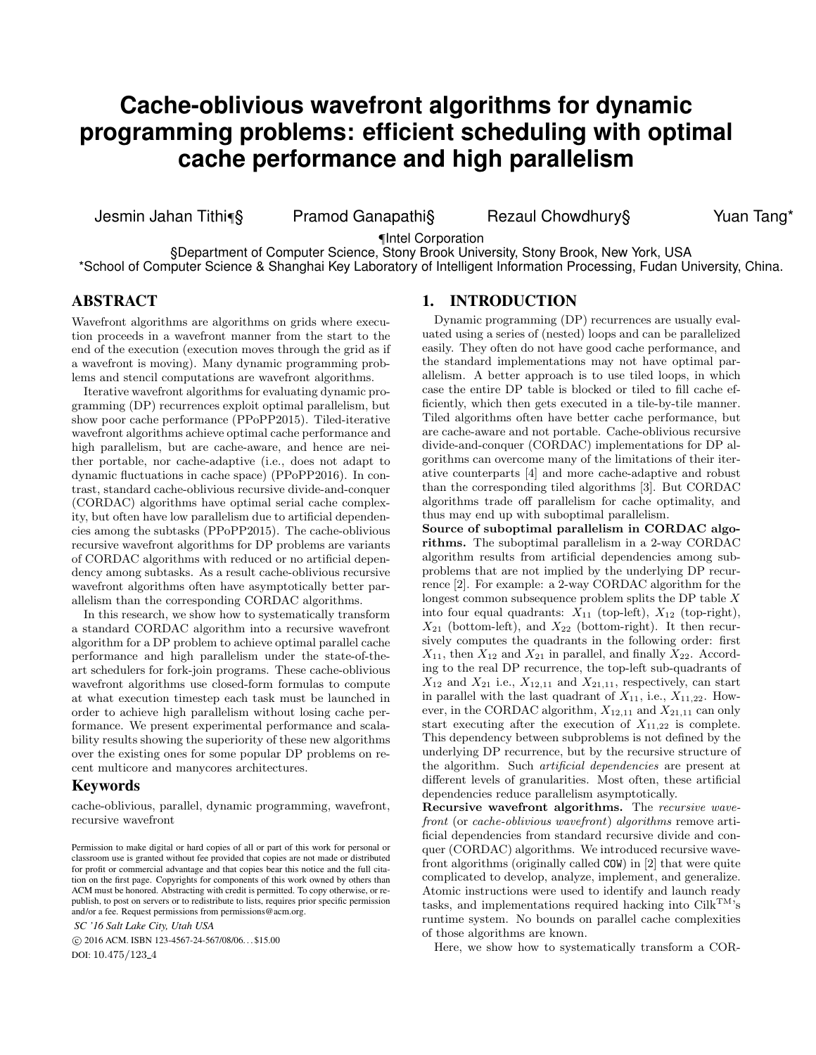# **Cache-oblivious wavefront algorithms for dynamic programming problems: efficient scheduling with optimal cache performance and high parallelism**

Jesmin Jahan Tithi¶§ Pramod Ganapathi§ Rezaul Chowdhury§ Yuan Tang\*

¶Intel Corporation

§Department of Computer Science, Stony Brook University, Stony Brook, New York, USA \*School of Computer Science & Shanghai Key Laboratory of Intelligent Information Processing, Fudan University, China.

## ABSTRACT

Wavefront algorithms are algorithms on grids where execution proceeds in a wavefront manner from the start to the end of the execution (execution moves through the grid as if a wavefront is moving). Many dynamic programming problems and stencil computations are wavefront algorithms.

Iterative wavefront algorithms for evaluating dynamic programming (DP) recurrences exploit optimal parallelism, but show poor cache performance (PPoPP2015). Tiled-iterative wavefront algorithms achieve optimal cache performance and high parallelism, but are cache-aware, and hence are neither portable, nor cache-adaptive (i.e., does not adapt to dynamic fluctuations in cache space) (PPoPP2016). In contrast, standard cache-oblivious recursive divide-and-conquer (CORDAC) algorithms have optimal serial cache complexity, but often have low parallelism due to artificial dependencies among the subtasks (PPoPP2015). The cache-oblivious recursive wavefront algorithms for DP problems are variants of CORDAC algorithms with reduced or no artificial dependency among subtasks. As a result cache-oblivious recursive wavefront algorithms often have asymptotically better parallelism than the corresponding CORDAC algorithms.

In this research, we show how to systematically transform a standard CORDAC algorithm into a recursive wavefront algorithm for a DP problem to achieve optimal parallel cache performance and high parallelism under the state-of-theart schedulers for fork-join programs. These cache-oblivious wavefront algorithms use closed-form formulas to compute at what execution timestep each task must be launched in order to achieve high parallelism without losing cache performance. We present experimental performance and scalability results showing the superiority of these new algorithms over the existing ones for some popular DP problems on recent multicore and manycores architectures.

#### Keywords

cache-oblivious, parallel, dynamic programming, wavefront, recursive wavefront

*SC '16 Salt Lake City, Utah USA*

 c 2016 ACM. ISBN 123-4567-24-567/08/06. . . \$15.00 DOI: 10.475/123<sub>-4</sub>

#### 1. INTRODUCTION

Dynamic programming (DP) recurrences are usually evaluated using a series of (nested) loops and can be parallelized easily. They often do not have good cache performance, and the standard implementations may not have optimal parallelism. A better approach is to use tiled loops, in which case the entire DP table is blocked or tiled to fill cache efficiently, which then gets executed in a tile-by-tile manner. Tiled algorithms often have better cache performance, but are cache-aware and not portable. Cache-oblivious recursive divide-and-conquer (CORDAC) implementations for DP algorithms can overcome many of the limitations of their iterative counterparts [4] and more cache-adaptive and robust than the corresponding tiled algorithms [3]. But CORDAC algorithms trade off parallelism for cache optimality, and thus may end up with suboptimal parallelism.

Source of suboptimal parallelism in CORDAC algorithms. The suboptimal parallelism in a 2-way CORDAC algorithm results from artificial dependencies among subproblems that are not implied by the underlying DP recurrence [2]. For example: a 2-way CORDAC algorithm for the longest common subsequence problem splits the DP table X into four equal quadrants:  $X_{11}$  (top-left),  $X_{12}$  (top-right),  $X_{21}$  (bottom-left), and  $X_{22}$  (bottom-right). It then recursively computes the quadrants in the following order: first  $X_{11}$ , then  $X_{12}$  and  $X_{21}$  in parallel, and finally  $X_{22}$ . According to the real DP recurrence, the top-left sub-quadrants of  $X_{12}$  and  $X_{21}$  i.e.,  $X_{12,11}$  and  $X_{21,11}$ , respectively, can start in parallel with the last quadrant of  $X_{11}$ , i.e.,  $X_{11,22}$ . However, in the CORDAC algorithm,  $X_{12,11}$  and  $X_{21,11}$  can only start executing after the execution of  $X_{11,22}$  is complete. This dependency between subproblems is not defined by the underlying DP recurrence, but by the recursive structure of the algorithm. Such artificial dependencies are present at different levels of granularities. Most often, these artificial dependencies reduce parallelism asymptotically.

Recursive wavefront algorithms. The recursive wavefront (or cache-oblivious wavefront) algorithms remove artificial dependencies from standard recursive divide and conquer (CORDAC) algorithms. We introduced recursive wavefront algorithms (originally called COW) in [2] that were quite complicated to develop, analyze, implement, and generalize. Atomic instructions were used to identify and launch ready tasks, and implementations required hacking into  $\text{Cilk}^{\text{TM}}$ 's runtime system. No bounds on parallel cache complexities of those algorithms are known.

Here, we show how to systematically transform a COR-

Permission to make digital or hard copies of all or part of this work for personal or classroom use is granted without fee provided that copies are not made or distributed for profit or commercial advantage and that copies bear this notice and the full citation on the first page. Copyrights for components of this work owned by others than ACM must be honored. Abstracting with credit is permitted. To copy otherwise, or republish, to post on servers or to redistribute to lists, requires prior specific permission and/or a fee. Request permissions from permissions@acm.org.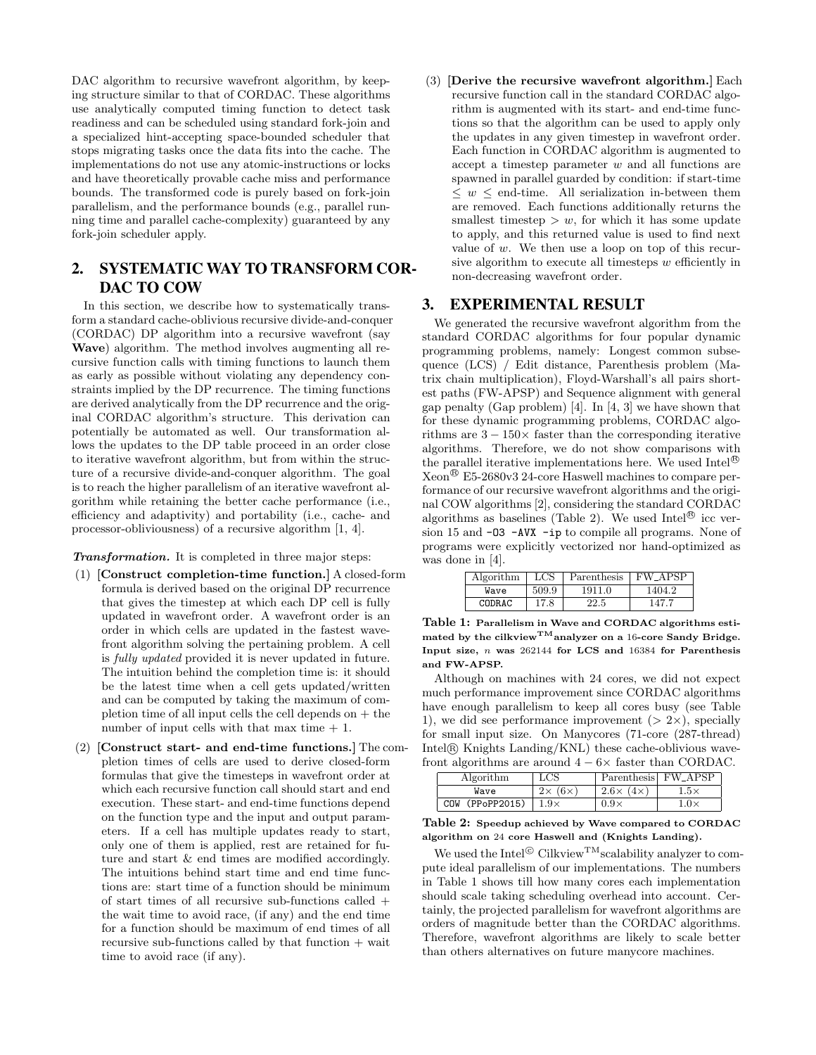DAC algorithm to recursive wavefront algorithm, by keeping structure similar to that of CORDAC. These algorithms use analytically computed timing function to detect task readiness and can be scheduled using standard fork-join and a specialized hint-accepting space-bounded scheduler that stops migrating tasks once the data fits into the cache. The implementations do not use any atomic-instructions or locks and have theoretically provable cache miss and performance bounds. The transformed code is purely based on fork-join parallelism, and the performance bounds (e.g., parallel running time and parallel cache-complexity) guaranteed by any fork-join scheduler apply.

# 2. SYSTEMATIC WAY TO TRANSFORM COR-DAC TO COW

In this section, we describe how to systematically transform a standard cache-oblivious recursive divide-and-conquer (CORDAC) DP algorithm into a recursive wavefront (say Wave) algorithm. The method involves augmenting all recursive function calls with timing functions to launch them as early as possible without violating any dependency constraints implied by the DP recurrence. The timing functions are derived analytically from the DP recurrence and the original CORDAC algorithm's structure. This derivation can potentially be automated as well. Our transformation allows the updates to the DP table proceed in an order close to iterative wavefront algorithm, but from within the structure of a recursive divide-and-conquer algorithm. The goal is to reach the higher parallelism of an iterative wavefront algorithm while retaining the better cache performance (i.e., efficiency and adaptivity) and portability (i.e., cache- and processor-obliviousness) of a recursive algorithm [1, 4].

Transformation. It is completed in three major steps:

- (1) [Construct completion-time function.] A closed-form formula is derived based on the original DP recurrence that gives the timestep at which each DP cell is fully updated in wavefront order. A wavefront order is an order in which cells are updated in the fastest wavefront algorithm solving the pertaining problem. A cell is fully updated provided it is never updated in future. The intuition behind the completion time is: it should be the latest time when a cell gets updated/written and can be computed by taking the maximum of completion time of all input cells the cell depends on  $+$  the number of input cells with that max time  $+1$ .
- (2) [Construct start- and end-time functions.] The completion times of cells are used to derive closed-form formulas that give the timesteps in wavefront order at which each recursive function call should start and end execution. These start- and end-time functions depend on the function type and the input and output parameters. If a cell has multiple updates ready to start, only one of them is applied, rest are retained for future and start & end times are modified accordingly. The intuitions behind start time and end time functions are: start time of a function should be minimum of start times of all recursive sub-functions called + the wait time to avoid race, (if any) and the end time for a function should be maximum of end times of all recursive sub-functions called by that function + wait time to avoid race (if any).

(3) [Derive the recursive wavefront algorithm.] Each recursive function call in the standard CORDAC algorithm is augmented with its start- and end-time functions so that the algorithm can be used to apply only the updates in any given timestep in wavefront order. Each function in CORDAC algorithm is augmented to accept a timestep parameter w and all functions are spawned in parallel guarded by condition: if start-time  $\leq w \leq$  end-time. All serialization in-between them are removed. Each functions additionally returns the smallest timestep  $> w$ , for which it has some update to apply, and this returned value is used to find next value of  $w$ . We then use a loop on top of this recursive algorithm to execute all timesteps  $w$  efficiently in non-decreasing wavefront order.

### 3. EXPERIMENTAL RESULT

We generated the recursive wavefront algorithm from the standard CORDAC algorithms for four popular dynamic programming problems, namely: Longest common subsequence (LCS) / Edit distance, Parenthesis problem (Matrix chain multiplication), Floyd-Warshall's all pairs shortest paths (FW-APSP) and Sequence alignment with general gap penalty (Gap problem) [4]. In [4, 3] we have shown that for these dynamic programming problems, CORDAC algorithms are  $3 - 150 \times$  faster than the corresponding iterative algorithms. Therefore, we do not show comparisons with the parallel iterative implementations here. We used Intel $^{\circledR}$ Xeon <sup>R</sup> E5-2680v3 24-core Haswell machines to compare performance of our recursive wavefront algorithms and the original COW algorithms [2], considering the standard CORDAC algorithms as baselines (Table 2). We used Intel $^{\circledR}$  icc version 15 and -O3 -AVX -ip to compile all programs. None of programs were explicitly vectorized nor hand-optimized as was done in [4].

| Algorithm | $_{\rm LCS}$ | Parenthesis | <b>FW APSP</b> |
|-----------|--------------|-------------|----------------|
| Wave      | 509.9        | 1911.0      | 1404.2         |
| CODRAC.   | 17.8         | 22.5        | 147.           |

Table 1: Parallelism in Wave and CORDAC algorithms estimated by the cilkview<sup>TM</sup>analyzer on a 16-core Sandy Bridge. Input size, n was 262144 for LCS and 16384 for Parenthesis and FW-APSP.

Although on machines with 24 cores, we did not expect much performance improvement since CORDAC algorithms have enough parallelism to keep all cores busy (see Table 1), we did see performance improvement  $(> 2\times)$ , specially for small input size. On Manycores (71-core (287-thread) Intel <sup>R</sup> Knights Landing/KNL) these cache-oblivious wavefront algorithms are around  $4 - 6 \times$  faster than CORDAC.

| Algorithm          | $_{\rm LCS}$            |             | Parenthesis FW_APSP     |
|--------------------|-------------------------|-------------|-------------------------|
| Wave               | $2\times$<br>$(6\times$ | $2.6\times$ | $1.5\times$             |
| (PPoPP2015)<br>COW | $1.9\times$             | $0.9\times$ | $_{\rm \star.0 \times}$ |

Table 2: Speedup achieved by Wave compared to CORDAC algorithm on 24 core Haswell and (Knights Landing).

We used the  $\text{Intel}^{\odot}$  Cilkview<sup>TM</sup>scalability analyzer to compute ideal parallelism of our implementations. The numbers in Table 1 shows till how many cores each implementation should scale taking scheduling overhead into account. Certainly, the projected parallelism for wavefront algorithms are orders of magnitude better than the CORDAC algorithms. Therefore, wavefront algorithms are likely to scale better than others alternatives on future manycore machines.